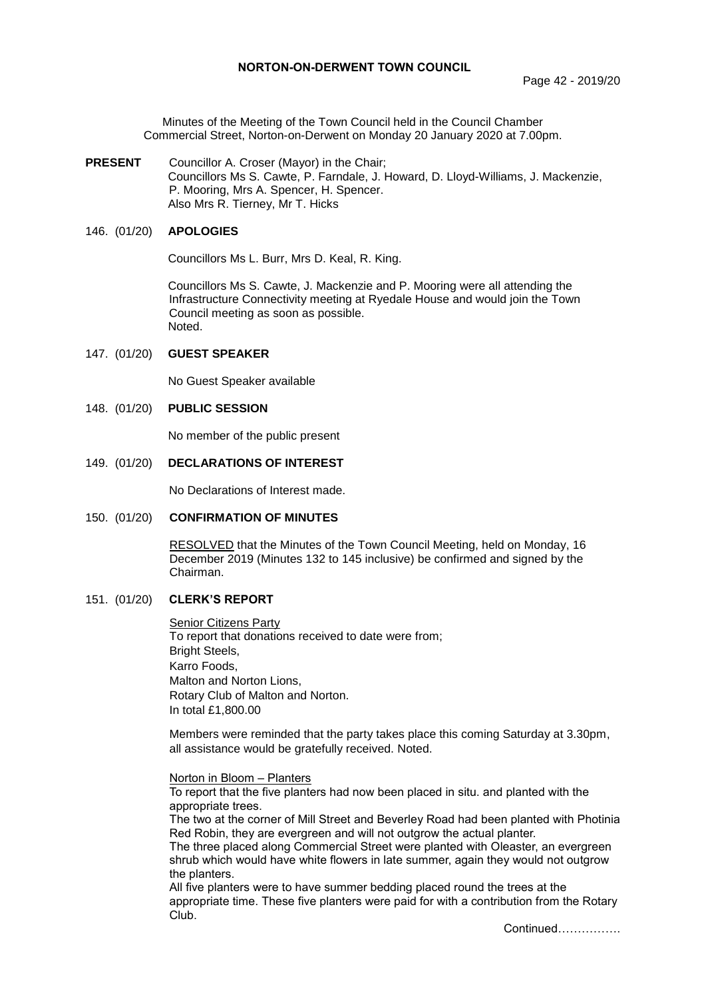Minutes of the Meeting of the Town Council held in the Council Chamber Commercial Street, Norton-on-Derwent on Monday 20 January 2020 at 7.00pm.

**PRESENT** Councillor A. Croser (Mayor) in the Chair; Councillors Ms S. Cawte, P. Farndale, J. Howard, D. Lloyd-Williams, J. Mackenzie, P. Mooring, Mrs A. Spencer, H. Spencer. Also Mrs R. Tierney, Mr T. Hicks

## 146. (01/20) **APOLOGIES**

Councillors Ms L. Burr, Mrs D. Keal, R. King.

Councillors Ms S. Cawte, J. Mackenzie and P. Mooring were all attending the Infrastructure Connectivity meeting at Ryedale House and would join the Town Council meeting as soon as possible. Noted.

## 147. (01/20) **GUEST SPEAKER**

No Guest Speaker available

## 148. (01/20) **PUBLIC SESSION**

No member of the public present

### 149. (01/20) **DECLARATIONS OF INTEREST**

No Declarations of Interest made.

# 150. (01/20) **CONFIRMATION OF MINUTES**

RESOLVED that the Minutes of the Town Council Meeting, held on Monday, 16 December 2019 (Minutes 132 to 145 inclusive) be confirmed and signed by the Chairman.

### 151. (01/20) **CLERK'S REPORT**

**Senior Citizens Party** To report that donations received to date were from; Bright Steels, Karro Foods, Malton and Norton Lions, Rotary Club of Malton and Norton. In total £1,800.00

Members were reminded that the party takes place this coming Saturday at 3.30pm, all assistance would be gratefully received. Noted.

#### Norton in Bloom – Planters

To report that the five planters had now been placed in situ. and planted with the appropriate trees.

The two at the corner of Mill Street and Beverley Road had been planted with Photinia Red Robin, they are evergreen and will not outgrow the actual planter.

The three placed along Commercial Street were planted with Oleaster, an evergreen shrub which would have white flowers in late summer, again they would not outgrow the planters.

All five planters were to have summer bedding placed round the trees at the appropriate time. These five planters were paid for with a contribution from the Rotary Club.

Continued…………….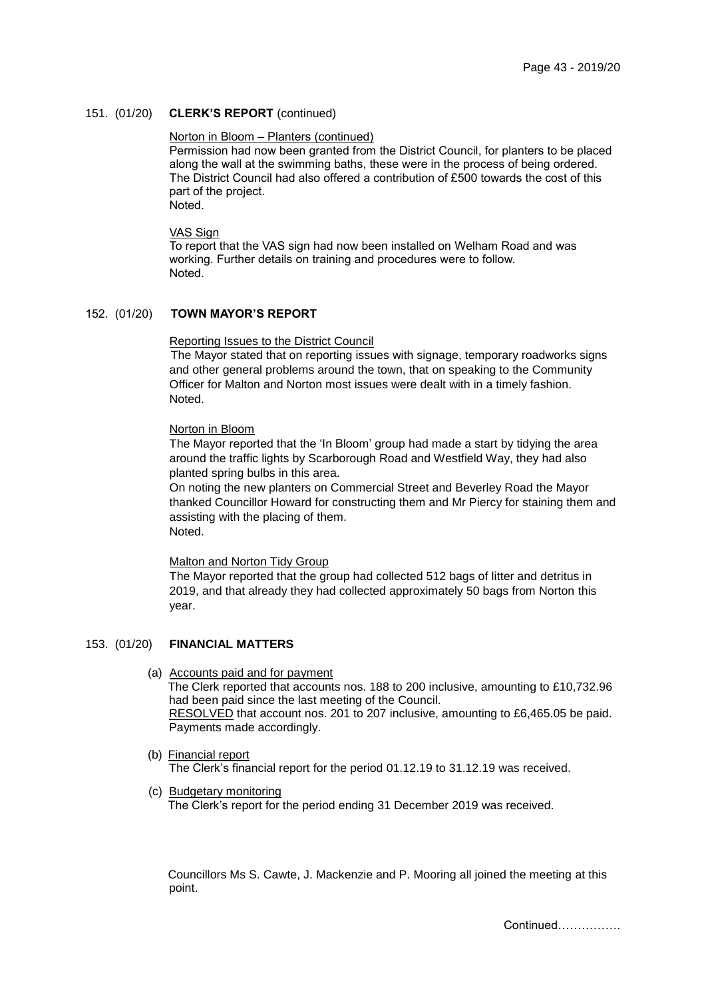# 151. (01/20) **CLERK'S REPORT** (continued)

# Norton in Bloom – Planters (continued)

Permission had now been granted from the District Council, for planters to be placed along the wall at the swimming baths, these were in the process of being ordered. The District Council had also offered a contribution of £500 towards the cost of this part of the project. Noted.

VAS Sign

To report that the VAS sign had now been installed on Welham Road and was working. Further details on training and procedures were to follow. Noted.

# 152. (01/20) **TOWN MAYOR'S REPORT**

### Reporting Issues to the District Council

The Mayor stated that on reporting issues with signage, temporary roadworks signs and other general problems around the town, that on speaking to the Community Officer for Malton and Norton most issues were dealt with in a timely fashion. Noted.

## Norton in Bloom

The Mayor reported that the 'In Bloom' group had made a start by tidying the area around the traffic lights by Scarborough Road and Westfield Way, they had also planted spring bulbs in this area.

On noting the new planters on Commercial Street and Beverley Road the Mayor thanked Councillor Howard for constructing them and Mr Piercy for staining them and assisting with the placing of them. Noted.

# Malton and Norton Tidy Group

The Mayor reported that the group had collected 512 bags of litter and detritus in 2019, and that already they had collected approximately 50 bags from Norton this year.

# 153. (01/20) **FINANCIAL MATTERS**

(a) Accounts paid and for payment

The Clerk reported that accounts nos. 188 to 200 inclusive, amounting to £10,732.96 had been paid since the last meeting of the Council. RESOLVED that account nos. 201 to 207 inclusive, amounting to £6,465.05 be paid. Payments made accordingly.

(b) Financial report

The Clerk's financial report for the period 01.12.19 to 31.12.19 was received.

(c) Budgetary monitoring

The Clerk's report for the period ending 31 December 2019 was received.

Councillors Ms S. Cawte, J. Mackenzie and P. Mooring all joined the meeting at this point.

Continued…………….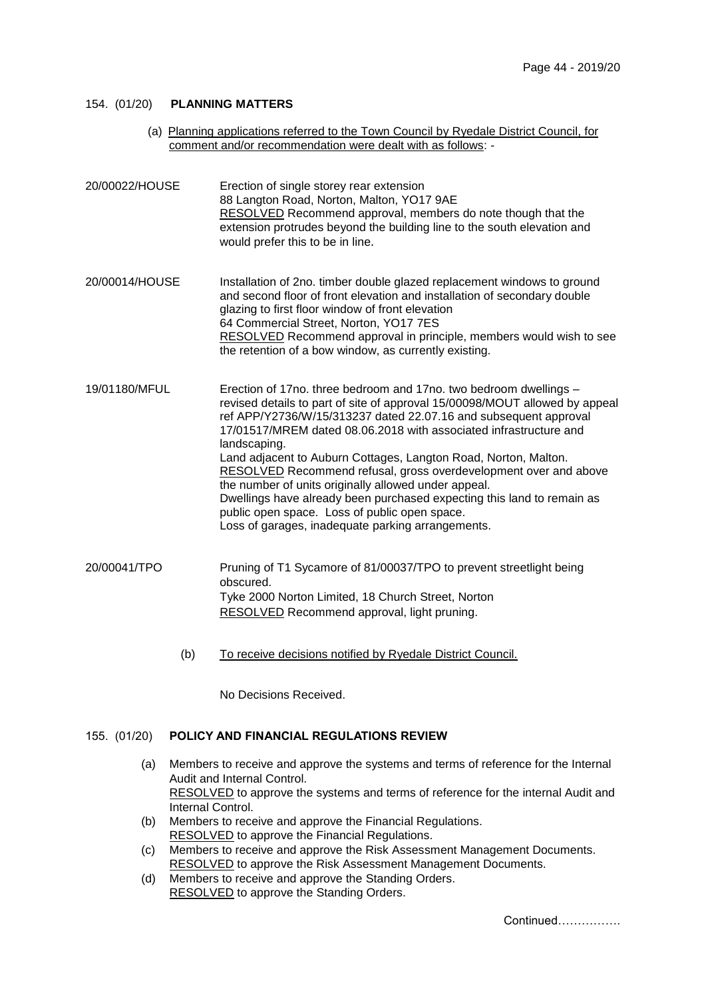# 154. (01/20) **PLANNING MATTERS**

(a) Planning applications referred to the Town Council by Ryedale District Council, for comment and/or recommendation were dealt with as follows: -

| 20/00022/HOUSE | Erection of single storey rear extension<br>88 Langton Road, Norton, Malton, YO17 9AE<br>RESOLVED Recommend approval, members do note though that the<br>extension protrudes beyond the building line to the south elevation and<br>would prefer this to be in line.                                                                                                                                                                                                                                                                                                                                                                                                                     |
|----------------|------------------------------------------------------------------------------------------------------------------------------------------------------------------------------------------------------------------------------------------------------------------------------------------------------------------------------------------------------------------------------------------------------------------------------------------------------------------------------------------------------------------------------------------------------------------------------------------------------------------------------------------------------------------------------------------|
| 20/00014/HOUSE | Installation of 2no. timber double glazed replacement windows to ground<br>and second floor of front elevation and installation of secondary double<br>glazing to first floor window of front elevation<br>64 Commercial Street, Norton, YO17 7ES<br>RESOLVED Recommend approval in principle, members would wish to see<br>the retention of a bow window, as currently existing.                                                                                                                                                                                                                                                                                                        |
| 19/01180/MFUL  | Erection of 17no. three bedroom and 17no. two bedroom dwellings -<br>revised details to part of site of approval 15/00098/MOUT allowed by appeal<br>ref APP/Y2736/W/15/313237 dated 22.07.16 and subsequent approval<br>17/01517/MREM dated 08.06.2018 with associated infrastructure and<br>landscaping.<br>Land adjacent to Auburn Cottages, Langton Road, Norton, Malton.<br>RESOLVED Recommend refusal, gross overdevelopment over and above<br>the number of units originally allowed under appeal.<br>Dwellings have already been purchased expecting this land to remain as<br>public open space. Loss of public open space.<br>Loss of garages, inadequate parking arrangements. |
| 20/00041/TPO   | Pruning of T1 Sycamore of 81/00037/TPO to prevent streetlight being<br>obscured.<br>Tyke 2000 Norton Limited, 18 Church Street, Norton<br>RESOLVED Recommend approval, light pruning.                                                                                                                                                                                                                                                                                                                                                                                                                                                                                                    |
|                |                                                                                                                                                                                                                                                                                                                                                                                                                                                                                                                                                                                                                                                                                          |

(b) To receive decisions notified by Ryedale District Council.

No Decisions Received.

# 155. (01/20) **POLICY AND FINANCIAL REGULATIONS REVIEW**

- (a) Members to receive and approve the systems and terms of reference for the Internal Audit and Internal Control. RESOLVED to approve the systems and terms of reference for the internal Audit and Internal Control.
- (b) Members to receive and approve the Financial Regulations. RESOLVED to approve the Financial Regulations.
- (c) Members to receive and approve the Risk Assessment Management Documents. RESOLVED to approve the Risk Assessment Management Documents.
- (d) Members to receive and approve the Standing Orders. RESOLVED to approve the Standing Orders.

Continued…………….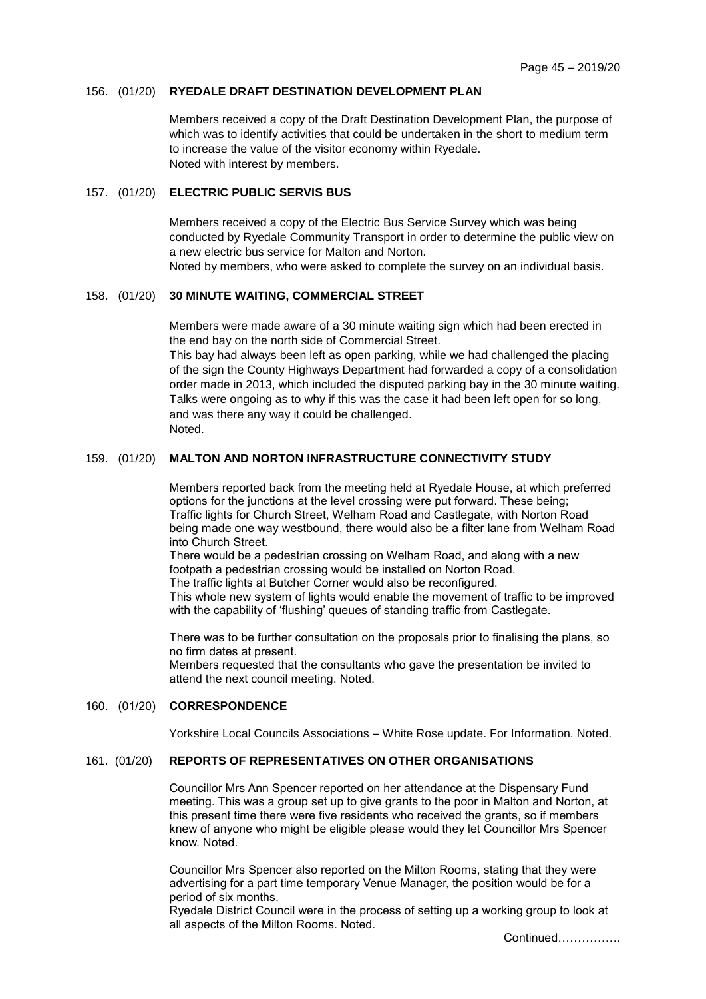## 156. (01/20) **RYEDALE DRAFT DESTINATION DEVELOPMENT PLAN**

Members received a copy of the Draft Destination Development Plan, the purpose of which was to identify activities that could be undertaken in the short to medium term to increase the value of the visitor economy within Ryedale. Noted with interest by members.

## 157. (01/20) **ELECTRIC PUBLIC SERVIS BUS**

Members received a copy of the Electric Bus Service Survey which was being conducted by Ryedale Community Transport in order to determine the public view on a new electric bus service for Malton and Norton.

Noted by members, who were asked to complete the survey on an individual basis.

## 158. (01/20) **30 MINUTE WAITING, COMMERCIAL STREET**

Members were made aware of a 30 minute waiting sign which had been erected in the end bay on the north side of Commercial Street.

This bay had always been left as open parking, while we had challenged the placing of the sign the County Highways Department had forwarded a copy of a consolidation order made in 2013, which included the disputed parking bay in the 30 minute waiting. Talks were ongoing as to why if this was the case it had been left open for so long, and was there any way it could be challenged. Noted.

# 159. (01/20) **MALTON AND NORTON INFRASTRUCTURE CONNECTIVITY STUDY**

Members reported back from the meeting held at Ryedale House, at which preferred options for the junctions at the level crossing were put forward. These being; Traffic lights for Church Street, Welham Road and Castlegate, with Norton Road being made one way westbound, there would also be a filter lane from Welham Road into Church Street.

There would be a pedestrian crossing on Welham Road, and along with a new footpath a pedestrian crossing would be installed on Norton Road. The traffic lights at Butcher Corner would also be reconfigured.

This whole new system of lights would enable the movement of traffic to be improved with the capability of 'flushing' queues of standing traffic from Castlegate.

There was to be further consultation on the proposals prior to finalising the plans, so no firm dates at present. Members requested that the consultants who gave the presentation be invited to attend the next council meeting. Noted.

### 160. (01/20) **CORRESPONDENCE**

Yorkshire Local Councils Associations – White Rose update. For Information. Noted.

# 161. (01/20) **REPORTS OF REPRESENTATIVES ON OTHER ORGANISATIONS**

Councillor Mrs Ann Spencer reported on her attendance at the Dispensary Fund meeting. This was a group set up to give grants to the poor in Malton and Norton, at this present time there were five residents who received the grants, so if members knew of anyone who might be eligible please would they let Councillor Mrs Spencer know. Noted.

Councillor Mrs Spencer also reported on the Milton Rooms, stating that they were advertising for a part time temporary Venue Manager, the position would be for a period of six months.

Ryedale District Council were in the process of setting up a working group to look at all aspects of the Milton Rooms. Noted.